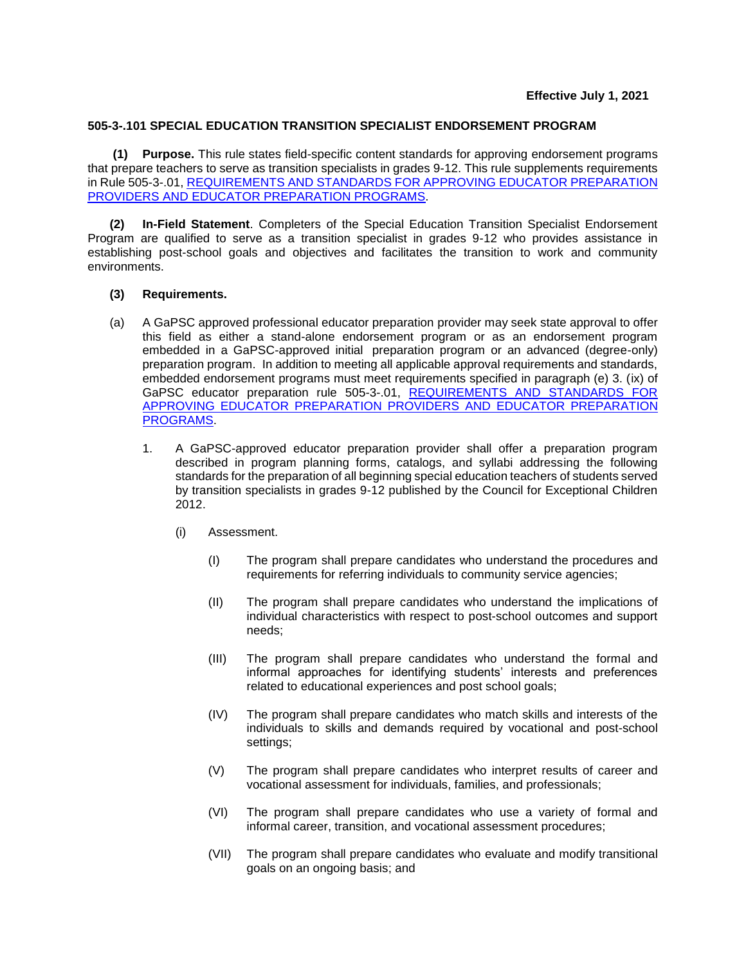## **505-3-.101 SPECIAL EDUCATION TRANSITION SPECIALIST ENDORSEMENT PROGRAM**

**(1) Purpose.** This rule states field-specific content standards for approving endorsement programs that prepare teachers to serve as transition specialists in grades 9-12. This rule supplements requirements in Rule 505-3-.01, [REQUIREMENTS AND STANDARDS FOR APPROVING](https://www.gapsc.com/Rules/Current/EducatorPreparation/505-3-.01.pdf?dt=%3C%25#Eval() EDUCATOR PREPARATION PROVIDERS [AND EDUCATOR PREPARATION PROGRAMS.](https://www.gapsc.com/Rules/Current/EducatorPreparation/505-3-.01.pdf?dt=%3C%25#Eval()

**(2) In-Field Statement**. Completers of the Special Education Transition Specialist Endorsement Program are qualified to serve as a transition specialist in grades 9-12 who provides assistance in establishing post-school goals and objectives and facilitates the transition to work and community environments.

## **(3) Requirements.**

- (a) A GaPSC approved professional educator preparation provider may seek state approval to offer this field as either a stand-alone endorsement program or as an endorsement program embedded in a GaPSC-approved initial preparation program or an advanced (degree-only) preparation program. In addition to meeting all applicable approval requirements and standards, embedded endorsement programs must meet requirements specified in paragraph (e) 3. (ix) of GaPSC educator preparation rule 505-3-.01, REQUIREMENTS AND STANDARDS FOR [APPROVING EDUCATOR PREPARATION PROVIDERS](https://www.gapsc.com/Rules/Current/EducatorPreparation/505-3-.01.pdf?dt=%3C%25#Eval() AND EDUCATOR PREPARATION [PROGRAMS.](https://www.gapsc.com/Rules/Current/EducatorPreparation/505-3-.01.pdf?dt=%3C%25#Eval()
	- 1. A GaPSC-approved educator preparation provider shall offer a preparation program described in program planning forms, catalogs, and syllabi addressing the following standards for the preparation of all beginning special education teachers of students served by transition specialists in grades 9-12 published by the Council for Exceptional Children 2012.
		- (i) Assessment.
			- (I) The program shall prepare candidates who understand the procedures and requirements for referring individuals to community service agencies;
			- (II) The program shall prepare candidates who understand the implications of individual characteristics with respect to post-school outcomes and support needs;
			- (III) The program shall prepare candidates who understand the formal and informal approaches for identifying students' interests and preferences related to educational experiences and post school goals;
			- (IV) The program shall prepare candidates who match skills and interests of the individuals to skills and demands required by vocational and post-school settings;
			- (V) The program shall prepare candidates who interpret results of career and vocational assessment for individuals, families, and professionals;
			- (VI) The program shall prepare candidates who use a variety of formal and informal career, transition, and vocational assessment procedures;
			- (VII) The program shall prepare candidates who evaluate and modify transitional goals on an ongoing basis; and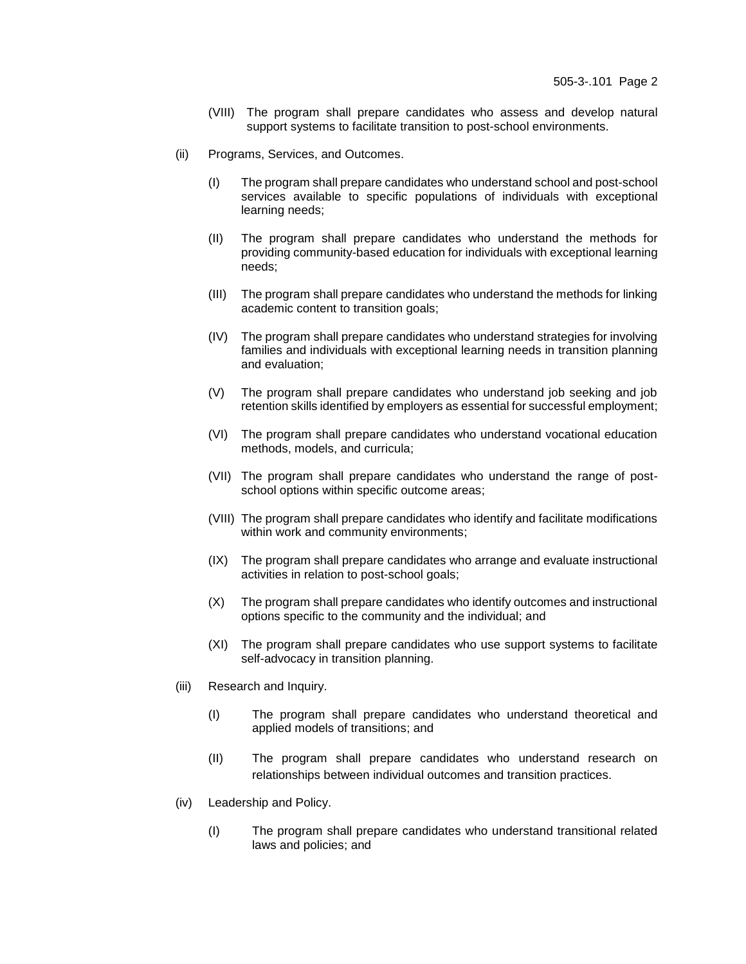- (VIII) The program shall prepare candidates who assess and develop natural support systems to facilitate transition to post-school environments.
- (ii) Programs, Services, and Outcomes.
	- (I) The program shall prepare candidates who understand school and post-school services available to specific populations of individuals with exceptional learning needs;
	- (II) The program shall prepare candidates who understand the methods for providing community-based education for individuals with exceptional learning needs;
	- (III) The program shall prepare candidates who understand the methods for linking academic content to transition goals;
	- (IV) The program shall prepare candidates who understand strategies for involving families and individuals with exceptional learning needs in transition planning and evaluation;
	- (V) The program shall prepare candidates who understand job seeking and job retention skills identified by employers as essential for successful employment;
	- (VI) The program shall prepare candidates who understand vocational education methods, models, and curricula;
	- (VII) The program shall prepare candidates who understand the range of postschool options within specific outcome areas;
	- (VIII) The program shall prepare candidates who identify and facilitate modifications within work and community environments;
	- (IX) The program shall prepare candidates who arrange and evaluate instructional activities in relation to post-school goals;
	- (X) The program shall prepare candidates who identify outcomes and instructional options specific to the community and the individual; and
	- (XI) The program shall prepare candidates who use support systems to facilitate self-advocacy in transition planning.
- (iii) Research and Inquiry.
	- (I) The program shall prepare candidates who understand theoretical and applied models of transitions; and
	- (II) The program shall prepare candidates who understand research on relationships between individual outcomes and transition practices.
- (iv) Leadership and Policy.
	- (I) The program shall prepare candidates who understand transitional related laws and policies; and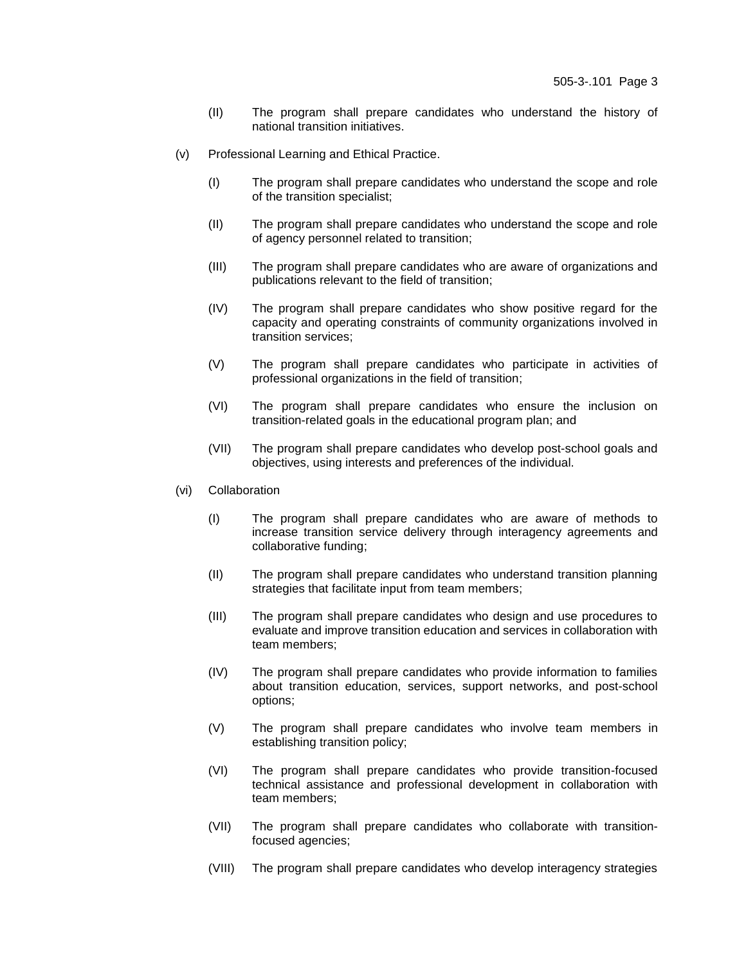- (II) The program shall prepare candidates who understand the history of national transition initiatives.
- (v) Professional Learning and Ethical Practice.
	- (I) The program shall prepare candidates who understand the scope and role of the transition specialist;
	- (II) The program shall prepare candidates who understand the scope and role of agency personnel related to transition;
	- (III) The program shall prepare candidates who are aware of organizations and publications relevant to the field of transition;
	- (IV) The program shall prepare candidates who show positive regard for the capacity and operating constraints of community organizations involved in transition services;
	- (V) The program shall prepare candidates who participate in activities of professional organizations in the field of transition;
	- (VI) The program shall prepare candidates who ensure the inclusion on transition-related goals in the educational program plan; and
	- (VII) The program shall prepare candidates who develop post-school goals and objectives, using interests and preferences of the individual.
- (vi) Collaboration
	- (I) The program shall prepare candidates who are aware of methods to increase transition service delivery through interagency agreements and collaborative funding;
	- (II) The program shall prepare candidates who understand transition planning strategies that facilitate input from team members;
	- (III) The program shall prepare candidates who design and use procedures to evaluate and improve transition education and services in collaboration with team members;
	- (IV) The program shall prepare candidates who provide information to families about transition education, services, support networks, and post-school options;
	- (V) The program shall prepare candidates who involve team members in establishing transition policy;
	- (VI) The program shall prepare candidates who provide transition-focused technical assistance and professional development in collaboration with team members;
	- (VII) The program shall prepare candidates who collaborate with transitionfocused agencies;
	- (VIII) The program shall prepare candidates who develop interagency strategies